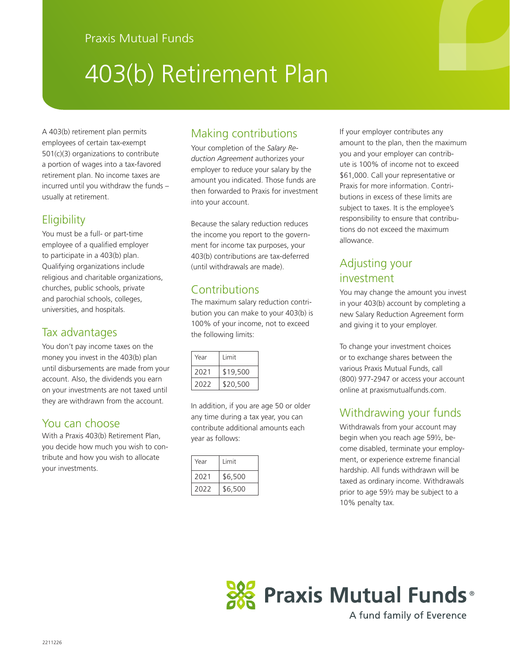# 403(b) Retirement Plan

A 403(b) retirement plan permits employees of certain tax-exempt 501(c)(3) organizations to contribute a portion of wages into a tax-favored retirement plan. No income taxes are incurred until you withdraw the funds – usually at retirement.

#### **Eligibility**

You must be a full- or part-time employee of a qualified employer to participate in a 403(b) plan. Qualifying organizations include religious and charitable organizations, churches, public schools, private and parochial schools, colleges, universities, and hospitals.

#### Tax advantages

You don't pay income taxes on the money you invest in the 403(b) plan until disbursements are made from your account. Also, the dividends you earn on your investments are not taxed until they are withdrawn from the account.

#### You can choose

With a Praxis 403(b) Retirement Plan, you decide how much you wish to contribute and how you wish to allocate your investments.

### Making contributions

Your completion of the *Salary Reduction Agreement* authorizes your employer to reduce your salary by the amount you indicated. Those funds are then forwarded to Praxis for investment into your account.

Because the salary reduction reduces the income you report to the government for income tax purposes, your 403(b) contributions are tax-deferred (until withdrawals are made).

### **Contributions**

The maximum salary reduction contribution you can make to your 403(b) is 100% of your income, not to exceed the following limits:

| Year | I imit   |
|------|----------|
| 2021 | \$19,500 |
| 2022 | \$20,500 |

In addition, if you are age 50 or older any time during a tax year, you can contribute additional amounts each year as follows:

| Year | Limit   |
|------|---------|
| 2021 | \$6,500 |
| 2022 | \$6,500 |

If your employer contributes any amount to the plan, then the maximum you and your employer can contribute is 100% of income not to exceed \$61,000. Call your representative or Praxis for more information. Contributions in excess of these limits are subject to taxes. It is the employee's responsibility to ensure that contributions do not exceed the maximum allowance.

# Adjusting your investment

You may change the amount you invest in your 403(b) account by completing a new Salary Reduction Agreement form and giving it to your employer.

To change your investment choices or to exchange shares between the various Praxis Mutual Funds, call (800) 977-2947 or access your account online at praxismutualfunds.com.

## Withdrawing your funds

Withdrawals from your account may begin when you reach age 59½, become disabled, terminate your employment, or experience extreme financial hardship. All funds withdrawn will be taxed as ordinary income. Withdrawals prior to age 59½ may be subject to a 10% penalty tax.



A fund family of Everence